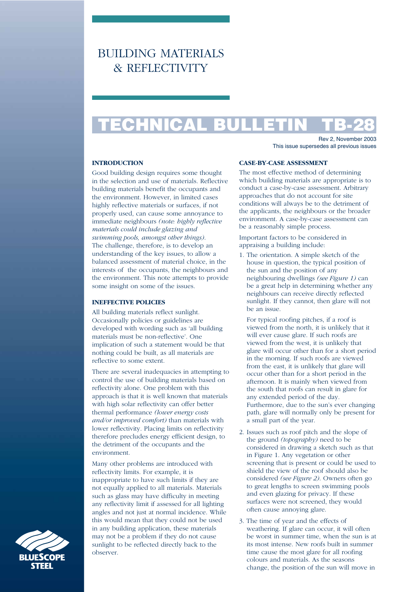# BUILDING MATERIALS & REFLECTIVITY

# **TECHNICAL BULLETIN TB-28**

Rev 2, November 2003 This issue supersedes all previous issues

# **INTRODUCTION**

Good building design requires some thought in the selection and use of materials. Reflective building materials benefit the occupants and the environment. However, in limited cases highly reflective materials or surfaces, if not properly used, can cause some annoyance to immediate neighbours *(note: highly reflective materials could include glazing and swimming pools, amongst other things)*. The challenge, therefore, is to develop an understanding of the key issues, to allow a balanced assessment of material choice, in the interests of the occupants, the neighbours and the environment. This note attempts to provide some insight on some of the issues.

# **INEFFECTIVE POLICIES**

All building materials reflect sunlight. Occasionally policies or guidelines are developed with wording such as 'all building materials must be non-reflective'. One implication of such a statement would be that nothing could be built, as all materials are reflective to some extent.

There are several inadequacies in attempting to control the use of building materials based on reflectivity alone. One problem with this approach is that it is well known that materials with high solar reflectivity can offer better thermal performance *(lower energy costs and/or improved comfort)* than materials with lower reflectivity. Placing limits on reflectivity therefore precludes energy efficient design, to the detriment of the occupants and the environment.

Many other problems are introduced with reflectivity limits. For example, it is inappropriate to have such limits if they are not equally applied to all materials. Materials such as glass may have difficulty in meeting any reflectivity limit if assessed for all lighting angles and not just at normal incidence. While this would mean that they could not be used in any building application, these materials may not be a problem if they do not cause sunlight to be reflected directly back to the observer.

#### **CASE-BY-CASE ASSESSMENT**

The most effective method of determining which building materials are appropriate is to conduct a case-by-case assessment. Arbitrary approaches that do not account for site conditions will always be to the detriment of the applicants, the neighbours or the broader environment. A case-by-case assessment can be a reasonably simple process.

Important factors to be considered in appraising a building include:

1. The orientation. A simple sketch of the house in question, the typical position of the sun and the position of any neighbouring dwellings *(see Figure 1)* can be a great help in determining whether any neighbours can receive directly reflected sunlight. If they cannot, then glare will not be an issue.

For typical roofing pitches, if a roof is viewed from the north, it is unlikely that it will ever cause glare. If such roofs are viewed from the west, it is unlikely that glare will occur other than for a short period in the morning. If such roofs are viewed from the east, it is unlikely that glare will occur other than for a short period in the afternoon. It is mainly when viewed from the south that roofs can result in glare for any extended period of the day. Furthermore, due to the sun's ever changing path, glare will normally only be present for a small part of the year.

- 2. Issues such as roof pitch and the slope of the ground *(topography)* need to be considered in drawing a sketch such as that in Figure 1. Any vegetation or other screening that is present or could be used to shield the view of the roof should also be considered *(see Figure 2)*. Owners often go to great lengths to screen swimming pools and even glazing for privacy. If these surfaces were not screened, they would often cause annoying glare.
- 3. The time of year and the effects of weathering. If glare can occur, it will often be worst in summer time, when the sun is at its most intense. New roofs built in summer time cause the most glare for all roofing colours and materials. As the seasons change, the position of the sun will move in

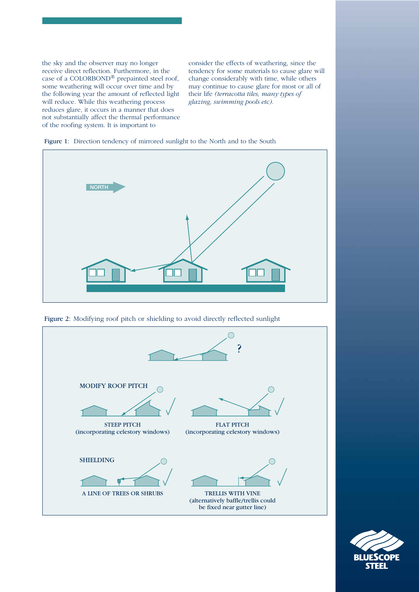the sky and the observer may no longer receive direct reflection. Furthermore, in the case of a COLORBOND<sup>®</sup> prepainted steel roof, some weathering will occur over time and by the following year the amount of reflected light will reduce. While this weathering process reduces glare, it occurs in a manner that does not substantially affect the thermal performance of the roofing system. It is important to

consider the effects of weathering, since the tendency for some materials to cause glare will change considerably with time, while others may continue to cause glare for most or all of their life *(terracotta tiles, many types of glazing, swimming pools etc)*.









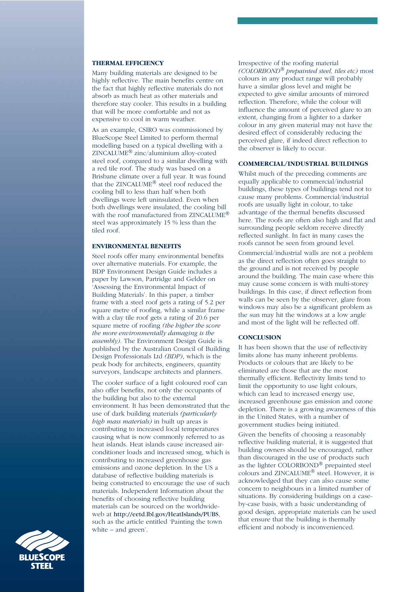#### **THERMAL EFFICIENCY**

Many building materials are designed to be highly reflective. The main benefits centre on the fact that highly reflective materials do not absorb as much heat as other materials and therefore stay cooler. This results in a building that will be more comfortable and not as expensive to cool in warm weather.

As an example, CSIRO was commissioned by BlueScope Steel Limited to perform thermal modelling based on a typical dwelling with a ZINCALUME® zinc/aluminium alloy-coated steel roof, compared to a similar dwelling with a red tile roof. The study was based on a Brisbane climate over a full year. It was found that the ZINCALUME® steel roof reduced the cooling bill to less than half when both dwellings were left uninsulated. Even when both dwellings were insulated, the cooling bill with the roof manufactured from ZINCALUME<sup>®</sup> steel was approximately 15 % less than the tiled roof.

#### **ENVIRONMENTAL BENEFITS**

Steel roofs offer many environmental benefits over alternative materials. For example, the BDP Environment Design Guide includes a paper by Lawson, Partridge and Gelder on 'Assessing the Environmental Impact of Building Materials'. In this paper, a timber frame with a steel roof gets a rating of 5.2 per square metre of roofing, while a similar frame with a clay tile roof gets a rating of 20.6 per square metre of roofing *(the higher the score the more environmentally damaging is the assembly)*. The Environment Design Guide is published by the Australian Council of Building Design Professionals Ltd *(BDP)*, which is the peak body for architects, engineers, quantity surveyors, landscape architects and planners.

The cooler surface of a light coloured roof can also offer benefits, not only the occupants of the building but also to the external environment. It has been demonstrated that the use of dark building materials *(particularly high mass materials)* in built up areas is contributing to increased local temperatures causing what is now commonly referred to as heat islands. Heat islands cause increased airconditioner loads and increased smog, which is contributing to increased greenhouse gas emissions and ozone depletion. In the US a database of reflective building materials is being constructed to encourage the use of such materials. Independent Information about the benefits of choosing reflective building materials can be sourced on the worldwideweb at http://eetd.lbl.gov/HeatIslands/PUBS, such as the article entitled 'Painting the town white – and green'.

Irrespective of the roofing material *(COLORBOND® prepainted steel, tiles etc)* most colours in any product range will probably have a similar gloss level and might be expected to give similar amounts of mirrored reflection. Therefore, while the colour will influence the amount of perceived glare to an extent, changing from a lighter to a darker colour in any given material may not have the desired effect of considerably reducing the perceived glare, if indeed direct reflection to the observer is likely to occur.

# **COMMERCIAL/INDUSTRIAL BUILDINGS**

Whilst much of the preceding comments are equally applicable to commercial/industrial buildings, these types of buildings tend not to cause many problems. Commercial/industrial roofs are usually light in colour, to take advantage of the thermal benefits discussed here. The roofs are often also high and flat and surrounding people seldom receive directly reflected sunlight. In fact in many cases the roofs cannot be seen from ground level.

Commercial/industrial walls are not a problem as the direct reflection often goes straight to the ground and is not received by people around the building. The main case where this may cause some concern is with multi-storey buildings. In this case, if direct reflection from walls can be seen by the observer, glare from windows may also be a significant problem as the sun may hit the windows at a low angle and most of the light will be reflected off.

# **CONCLUSION**

It has been shown that the use of reflectivity limits alone has many inherent problems. Products or colours that are likely to be eliminated are those that are the most thermally efficient. Reflectivity limits tend to limit the opportunity to use light colours, which can lead to increased energy use, increased greenhouse gas emission and ozone depletion. There is a growing awareness of this in the United States, with a number of government studies being initiated.

Given the benefits of choosing a reasonably reflective building material, it is suggested that building owners should be encouraged, rather than discouraged in the use of products such as the lighter COLORBOND® prepainted steel colours and ZINCALUME® steel. However, it is acknowledged that they can also cause some concern to neighbours in a limited number of situations. By considering buildings on a caseby-case basis, with a basic understanding of good design, appropriate materials can be used that ensure that the building is thermally efficient and nobody is inconvenienced.